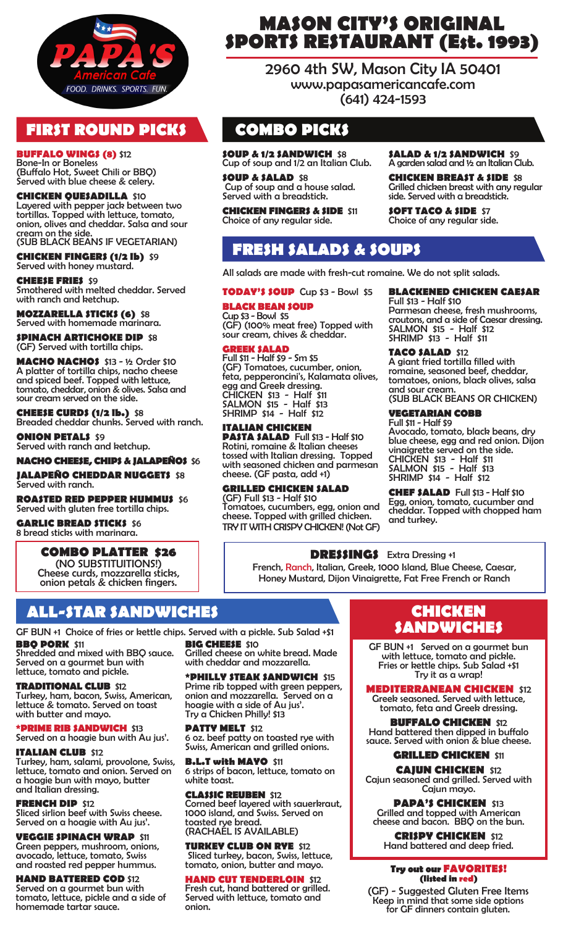

### **FIRST ROUND PICKS**

**BUFFALO WINGS (8)** \$12 Bone-In or Boneless (Buffalo Hot, Sweet Chili or BBQ) Served with blue cheese & celery.

**CHICKEN QUESADILLA** \$10 Layered with pepper jack between two tortillas. Topped with lettuce, tomato, onion, olives and cheddar. Salsa and sour cream on the side. (SUB BLACK BEANS IF VEGETARIAN)

**CHICKEN FINGERS (1/2 lb)** \$9

Served with honey mustard. **CHEESE FRIES** \$9 Smothered with melted cheddar. Served with ranch and ketchup.

**MOZZARELLA STICKS (6)** \$8 Served with homemade marinara.

**SPINACH ARTICHOKE DIP \$8** (GF) Served with tortilla chips.

**MACHO NACHOS** \$13 - ½ Order \$10 A platter of tortilla chips, nacho cheese and spiced beef. Topped with lettuce, tomato, cheddar, onion & olives. Salsa and sour cream served on the side.

**CHEESE CURDS (1/2 lb.)** \$8 Breaded cheddar chunks. Served with ranch.

**ONION PETALS \$9** Served with ranch and ketchup.

#### **NACHO CHEESE, CHIPS & JALAPEÑOS \$6 JALAPEÑO CHEDDAR NUGGET\$ \$8**

#### Served with ranch.

**ROASTED RED PEPPER HUMMUS \$6** Served with gluten free tortilla chips.

**GARLIC BREAD STICKS \$6** 8 bread sticks with marinara.

**COMBO PLATTER \$26** (NO SUBSTITUITIONS!) Cheese curds, mozzarella sticks, onion petals & chicken fingers.

# **ALL-STAR SANDWICHES**

**BBQ PORK** \$11 **BIG CHEESE** \$10 GF BUN +1 Choice of fries or kettle chips. Served with a pickle. Sub Salad +\$1

Shredded and mixed with BBQ sauce. Served on a gourmet bun with lettuce, tomato and pickle.

**TRADITIONAL CLUB** \$12 Turkey, ham, bacon, Swiss, American, lettuce & tomato. Served on toast with butter and mayo.

**PRIME RIB SANDWICH \$13** Served on a hoagie bun with Au jus'.

### **ITALIAN CLUB \$12**

Turkey, ham, salami, provolone, Swiss, lettuce, tomato and onion. Served on a hoagie bun with mayo, butter and Italian dressing.

**FRENCH DIP** \$12

Sliced sirlion beef with Swiss cheese. Served on a hoagie with Au jus'.

**VEGGIE SPINACH WRAP** \$11 Green peppers, mushroom, onions, avocado, lettuce, tomato, Swiss and roasted red pepper hummus.

**HAND BATTERED COD** \$12 Served on a gourmet bun with tomato, lettuce, pickle and a side of

homemade tartar sauce.

**MASON CITY'S ORIGINAL SPORTS RESTAURANT (Est. 1993)**

> 2960 4th SW, Mason City IA 50401 www.papasamericancafe.com (641) 424-1593

# **COMBO PICKS**

**SOUP & 1/2 SANDWICH** \$8Cup of soup and 1/2 an Italian Club.

**SOUP & SALAD** \$8 Cup of soup and a house salad. Served with a breadstick.

**CHICKEN FINGERS & SIDE** \$11 Choice of any regular side.

**SALAD & 1/2 SANDWICH** \$9 A garden salad and ½ an Italian Club.

**CHICKEN BREAST & SIDE** \$8 Grilled chicken breast with any regular side. Served with a breadstick.

**SOFT TACO & SIDE** \$7 Choice of any regular side.

## **FRESH SALADS & SOUPS**

All salads are made with fresh-cut romaine. We do not split salads.

#### **TODAY'S SOUP** Cup \$3 - Bowl \$5

**BLACK BEAN SOUP** Cup \$3 - Bowl \$5 (GF) (100% meat free) Topped with

sour cream, chives & cheddar.

#### **GREEK SALAD**

Full \$11 - Half \$9 - Sm \$5 (GF) Tomatoes, cucumber, onion, feta, pepperoncini's, Kalamata olives, egg and Greek dressing. CHICKEN \$13 - Half \$11 SALMON \$15 - Half \$13 SHRIMP \$14 - Half \$12

**ITALIAN CHICKEN PASTA SALAD** Full \$13 - Half \$10 Rotini, romaine & Italian cheeses tossed with Italian dressing. Topped with seasoned chicken and parmesan cheese. (GF pasta, add +1)

**GRILLED CHICKEN SALAD**  (GF) Full \$13 - Half \$10 Tomatoes, cucumbers, egg, onion and cheese. Topped with grilled chicken. TRY IT WITH CRISPY CHICKEN! (Not GF)

**BLACKENED CHICKEN CAESAR**  Full \$13 - Half \$10

Parmesan cheese, fresh mushrooms, croutons, and a side of Caesar dressing. SALMON \$15 - Half \$12 SHRIMP \$13 - Half \$11

### **TACO SALAD** \$12

A giant fried tortilla filled with romaine, seasoned beef, cheddar, tomatoes, onions, black olives, salsa and sour cream.

(SUB BLACK BEANS OR CHICKEN)

### **VEGETARIAN COBB**

Full \$11 - Half \$9 Avocado, tomato, black beans, dry blue cheese, egg and red onion. Dijon vinaigrette served on the side. CHICKEN \$13 - Half \$11 SALMON \$15 - Half \$13 SHRIMP \$14 - Half \$12

**CHEF SALAD** Full \$13 - Half \$10 Egg, onion, tomato, cucumber and cheddar. Topped with chopped ham and turkey.

**DRESSINGS** Extra Dressing +1 French, Ranch, Italian, Greek, 1000 Island, Blue Cheese, Caesar, Honey Mustard, Dijon Vinaigrette, Fat Free French or Ranch

**PATTY MELT \$12** 6 oz. beef patty on toasted rye with Swiss, American and grilled onions.

**B.L.T with MAYO** \$11 6 strips of bacon, lettuce, tomato on white toast.

Corned beef layered with sauerkraut, (RACHAEL IS AVAILABLE)

**TURKEY CLUB ON RYE** \$12 Sliced turkey, bacon, Swiss, lettuce, tomato, onion, butter and mayo.

### **HAND CUT TENDERLOIN** \$12

Fresh cut, hand battered or grilled. Served with lettuce, tomato and onion.

### **CHICKEN SANDWICHES**

GF BUN +1 Served on a gourmet bun with lettuce, tomato and pickle. Fries or kettle chips. Sub Salad +\$1 Try it as a wrap!

### **MEDITERRANEAN CHICKEN** \$12

Greek seasoned. Served with lettuce, tomato, feta and Greek dressing.

**BUFFALO CHICKEN** \$12 Hand battered then dipped in buffalo sauce. Served with onion & blue cheese.

**GRILLED CHICKEN** \$11 **CAJUN CHICKEN** \$12 Cajun seasoned and grilled. Served with Cajun mayo.

**PAPA'S CHICKEN \$13** Grilled and topped with American cheese and bacon. BBQ on the bun.

**CRISPY CHICKEN** \$12 Hand battered and deep fried.

**Try out our FAVORITES! (listed in red)**

(GF) - Suggested Gluten Free Items Keep in mind that some side options for GF dinners contain gluten.

Grilled cheese on white bread. Made with cheddar and mozzarella. **\*PHILLY STEAK SANDWICH** \$15

Prime rib topped with green peppers, onion and mozzarella. Served on a hoagie with a side of Au jus'. Try a Chicken Philly! \$13

**CLASSIC REUBEN** \$12

1000 island, and Swiss. Served on toasted rye bread.